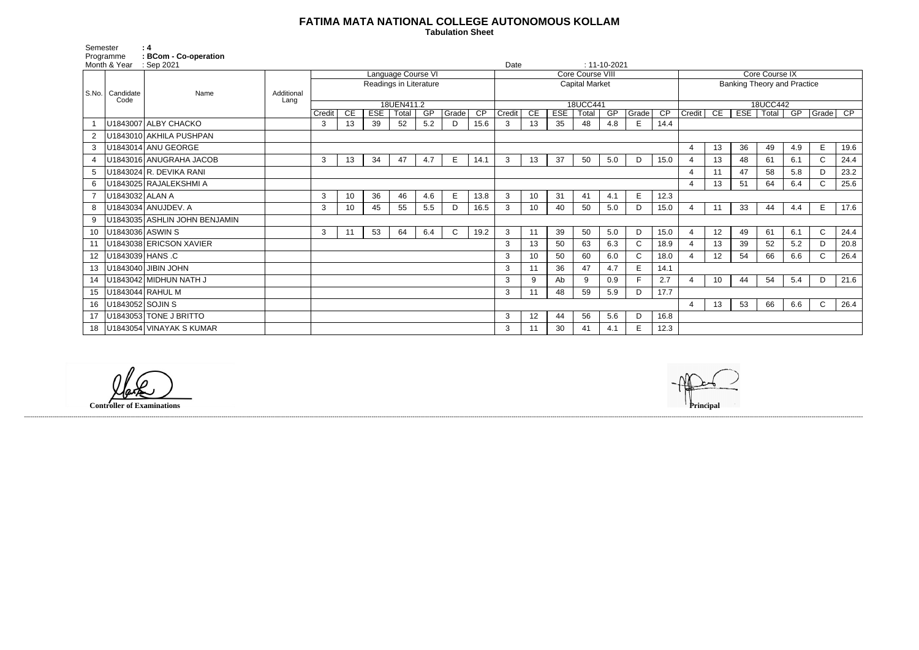## **FATIMA MATA NATIONAL COLLEGE AUTONOMOUS KOLLAM**

 **Tabulation Sheet** 

| Semester        |                   | : 4                           |                    |                                              |                 |            |       |     |              |                                           |        |    |            |       |                    |              |                                    |                       |    |     |                |     |              |                 |
|-----------------|-------------------|-------------------------------|--------------------|----------------------------------------------|-----------------|------------|-------|-----|--------------|-------------------------------------------|--------|----|------------|-------|--------------------|--------------|------------------------------------|-----------------------|----|-----|----------------|-----|--------------|-----------------|
| Programme       |                   | : BCom - Co-operation         |                    |                                              |                 |            |       |     |              |                                           |        |    |            |       |                    |              |                                    |                       |    |     |                |     |              |                 |
| Month & Year    |                   | : Sep 2021                    |                    |                                              |                 |            |       |     |              |                                           | Date   |    |            |       | $: 11 - 10 - 2021$ |              |                                    |                       |    |     | Core Course IX |     |              |                 |
|                 |                   |                               |                    | Language Course VI<br>Readings in Literature |                 |            |       |     |              | Core Course VIII<br><b>Capital Market</b> |        |    |            |       |                    |              | <b>Banking Theory and Practice</b> |                       |    |     |                |     |              |                 |
|                 | S.No.   Candidate | Name                          | Additional<br>Lang |                                              |                 |            |       |     |              |                                           |        |    |            |       |                    |              |                                    |                       |    |     |                |     |              |                 |
|                 | Code              |                               |                    | 18UEN411.2                                   |                 |            |       |     | 18UCC441     |                                           |        |    |            |       |                    | 18UCC442     |                                    |                       |    |     |                |     |              |                 |
|                 |                   |                               |                    | Credit                                       | CE              | <b>ESE</b> | Total | GP  | Grade        | $\overline{CP}$                           | Credit | CE | <b>ESE</b> | Total | GP                 | Grade        | CP                                 | Credit                | CE | EST | Total          | GP  | Grade        | $\overline{CP}$ |
|                 |                   | U1843007 ALBY CHACKO          |                    | 3                                            | 13              | 39         | 52    | 5.2 | D            | 15.6                                      | 3      | 13 | 35         | 48    | 4.8                | E            | 14.4                               |                       |    |     |                |     |              |                 |
|                 |                   | U1843010 AKHILA PUSHPAN       |                    |                                              |                 |            |       |     |              |                                           |        |    |            |       |                    |              |                                    |                       |    |     |                |     |              |                 |
| 3               |                   | U1843014 ANU GEORGE           |                    |                                              |                 |            |       |     |              |                                           |        |    |            |       |                    |              |                                    | $\overline{4}$        | 13 | 36  | 49             | 4.9 | E            | 19.6            |
|                 |                   | U1843016 ANUGRAHA JACOB       |                    | 3                                            | 13              | 34         | 47    | 4.7 | E.           | 14.1                                      | 3      | 13 | 37         | 50    | 5.0                | D            | 15.0                               | $\overline{4}$        | 13 | 48  | 61             | 6.1 | $\mathsf{C}$ | 24.4            |
| 5               |                   | U1843024 R. DEVIKA RANI       |                    |                                              |                 |            |       |     |              |                                           |        |    |            |       |                    |              |                                    | $\overline{4}$        | 11 | 47  | 58             | 5.8 | D            | 23.2            |
| 6               |                   | U1843025 RAJALEKSHMI A        |                    |                                              |                 |            |       |     |              |                                           |        |    |            |       |                    |              |                                    | $\overline{4}$        | 13 | 51  | 64             | 6.4 | C            | 25.6            |
|                 | U1843032 ALAN A   |                               |                    | $\mathbf{3}$                                 | 10 <sup>°</sup> | 36         | 46    | 4.6 | E            | 13.8                                      | 3      | 10 | 31         | 41    | 4.1                | E            | 12.3                               |                       |    |     |                |     |              |                 |
| 8               |                   | U1843034 ANUJDEV. A           |                    | 3                                            | 10 <sup>1</sup> | 45         | 55    | 5.5 | D.           | 16.5                                      | 3      | 10 | 40         | 50    | 5.0                | D            | 15.0                               | $\boldsymbol{\Delta}$ | 11 | 33  | 44             | 4.4 | E            | 17.6            |
| 9               |                   | U1843035 ASHLIN JOHN BENJAMIN |                    |                                              |                 |            |       |     |              |                                           |        |    |            |       |                    |              |                                    |                       |    |     |                |     |              |                 |
| 10              |                   | U1843036 ASWIN S              |                    | 3                                            | 11              | 53         | 64    | 6.4 | $\mathsf{C}$ | 19.2                                      | 3      | 11 | 39         | 50    | 5.0                | D            | 15.0                               | $\overline{4}$        | 12 | 49  | 61             | 6.1 | $\mathsf{C}$ | 24.4            |
|                 |                   | U1843038 ERICSON XAVIER       |                    |                                              |                 |            |       |     |              |                                           | 3      | 13 | 50         | 63    | 6.3                | $\mathsf{C}$ | 18.9                               | $\overline{4}$        | 13 | 39  | 52             | 5.2 | D            | 20.8            |
| 12              |                   | U1843039 HANS C               |                    |                                              |                 |            |       |     |              |                                           | 3      | 10 | 50         | 60    | 6.0                | $\mathsf C$  | 18.0                               | $\overline{4}$        | 12 | 54  | 66             | 6.6 | $\mathsf{C}$ | 26.4            |
| 13              |                   | U1843040 JIBIN JOHN           |                    |                                              |                 |            |       |     |              |                                           | 3      | 11 | 36         | 47    | 4.7                | E            | 14.1                               |                       |    |     |                |     |              |                 |
|                 |                   | U1843042 MIDHUN NATH J        |                    |                                              |                 |            |       |     |              |                                           | 3      | 9  | Ab         | 9     | 0.9                | E            | 2.7                                | $\overline{4}$        | 10 | 44  | 54             | 5.4 | D            | 21.6            |
| 15 <sub>1</sub> |                   | U1843044 RAHUL M              |                    |                                              |                 |            |       |     |              |                                           | 3      | 11 | 48         | 59    | 5.9                | D            | 17.7                               |                       |    |     |                |     |              |                 |
| 16              | U1843052 SOJIN S  |                               |                    |                                              |                 |            |       |     |              |                                           |        |    |            |       |                    |              |                                    | $\overline{4}$        | 13 | 53  | 66             | 6.6 | $\mathsf{C}$ | 26.4            |
| 17              |                   | U1843053 TONE J BRITTO        |                    |                                              |                 |            |       |     |              |                                           | 3      | 12 | 44         | 56    | 5.6                | D            | 16.8                               |                       |    |     |                |     |              |                 |
| 18              |                   | U1843054 VINAYAK S KUMAR      |                    |                                              |                 |            |       |     |              |                                           | 3      | 11 | 30         | 41    | 4.1                | E            | 12.3                               |                       |    |     |                |     |              |                 |

------------------------------------------------------------------------------------------------------------------------------------------------------------------------------------------------------------------------------------------------------------------------------------------------------------------------------------------------------------------------------------------------------------------------

**Controller of Examinations**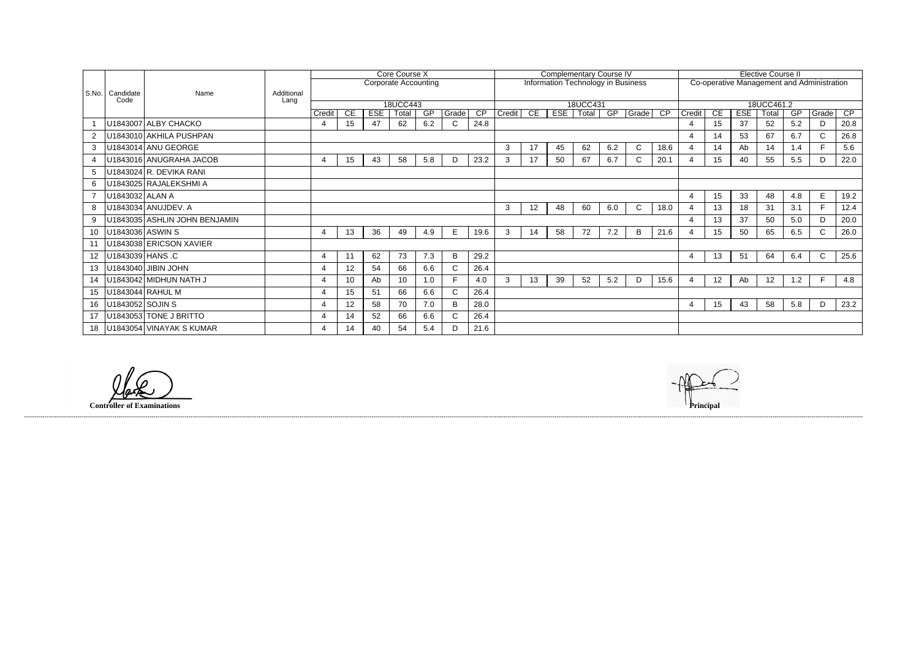|    |                           |                               |            | Core Course X               |    |            |       |     |       | <b>Complementary Course IV</b>     |              |          |     |       |     |              | <b>Elective Course II</b>                  |                |                 |            |                  |     |              |      |  |
|----|---------------------------|-------------------------------|------------|-----------------------------|----|------------|-------|-----|-------|------------------------------------|--------------|----------|-----|-------|-----|--------------|--------------------------------------------|----------------|-----------------|------------|------------------|-----|--------------|------|--|
|    |                           |                               |            | <b>Corporate Accounting</b> |    |            |       |     |       | Information Technology in Business |              |          |     |       |     |              | Co-operative Management and Administration |                |                 |            |                  |     |              |      |  |
|    | S.No.   Candidate<br>Code | Name                          | Additional |                             |    |            |       |     |       |                                    |              |          |     |       |     |              |                                            |                |                 |            |                  |     |              |      |  |
|    |                           |                               | Lang       | 18UCC443                    |    |            |       |     |       |                                    |              | 18UCC431 |     |       |     |              |                                            | 18UCC461.2     |                 |            |                  |     |              |      |  |
|    |                           |                               |            | Credit                      | CE | <b>ESE</b> | Total | GP  | Grade | CP                                 | Credit       | CE       | ESE | Total | GP  | Grade CP     |                                            | Credit         | CE              | <b>ESE</b> | Total            | GP  | Grade        | CP   |  |
|    |                           | U1843007 ALBY CHACKO          |            | 4                           | 15 | 47         | 62    | 6.2 |       | 24.8                               |              |          |     |       |     |              |                                            |                | 15              | 37         | 52               | 5.2 | D.           | 20.8 |  |
|    |                           | U1843010 AKHILA PUSHPAN       |            |                             |    |            |       |     |       |                                    |              |          |     |       |     |              |                                            |                | 14              | 53         | 67               | 6.7 | C.           | 26.8 |  |
| 3  |                           | U1843014 ANU GEORGE           |            |                             |    |            |       |     |       |                                    | 3            | 17       | 45  | 62    | 6.2 | $\mathsf{C}$ | 18.6                                       |                | 14              | Ab         | 14               | 1.4 | F.           | 5.6  |  |
|    |                           | U1843016 ANUGRAHA JACOB       |            | 4                           | 15 | 43         | 58    | 5.8 | D     | 23.2                               | 3            | 17       | 50  | 67    | 6.7 | $\mathsf{C}$ | 20.1                                       |                | 15              | 40         | 55               | 5.5 | D            | 22.0 |  |
| 5  |                           | U1843024 R. DEVIKA RANI       |            |                             |    |            |       |     |       |                                    |              |          |     |       |     |              |                                            |                |                 |            |                  |     |              |      |  |
|    |                           | U1843025 RAJALEKSHMI A        |            |                             |    |            |       |     |       |                                    |              |          |     |       |     |              |                                            |                |                 |            |                  |     |              |      |  |
|    | U1843032 ALAN A           |                               |            |                             |    |            |       |     |       |                                    |              |          |     |       |     |              |                                            | $\overline{4}$ | 15              | 33         | 48               | 4.8 | E            | 19.2 |  |
| 8  |                           | U1843034 ANUJDEV. A           |            |                             |    |            |       |     |       |                                    | $\mathbf{3}$ | 12       | 48  | 60    | 6.0 | $\mathsf{C}$ | 18.0                                       |                | 13              | 18         | 31               | 3.1 | F.           | 12.4 |  |
| 9  |                           | U1843035 ASHLIN JOHN BENJAMIN |            |                             |    |            |       |     |       |                                    |              |          |     |       |     |              |                                            |                | 13              | 37         | 50               | 5.0 | D            | 20.0 |  |
| 10 | U1843036 ASWIN S          |                               |            | $\overline{4}$              | 13 | 36         | 49    | 4.9 | E     | 19.6                               | 3            | 14       | 58  | 72    | 7.2 | B            | 21.6                                       |                | 15 <sub>1</sub> | 50         | 65               | 6.5 | C.           | 26.0 |  |
|    |                           | U1843038 ERICSON XAVIER       |            |                             |    |            |       |     |       |                                    |              |          |     |       |     |              |                                            |                |                 |            |                  |     |              |      |  |
| 12 |                           | U1843039 HANS .C              |            | $\overline{4}$              | 11 | 62         | 73    | 7.3 | B     | 29.2                               |              |          |     |       |     |              |                                            | $\overline{4}$ | 13              | 51         | 64               | 6.4 | $\mathsf{C}$ | 25.6 |  |
| 13 |                           | U1843040 JIBIN JOHN           |            | $\boldsymbol{4}$            | 12 | 54         | 66    | 6.6 |       | 26.4                               |              |          |     |       |     |              |                                            |                |                 |            |                  |     |              |      |  |
| 14 |                           | U1843042 MIDHUN NATH J        |            | $\overline{4}$              | 10 | Ab         | 10    | 1.0 |       | 4.0                                | 3            | 13       | 39  | 52    | 5.2 | D            | 15.6                                       |                | 12 <sup>°</sup> | Ab         | 12 <sup>12</sup> | 1.2 | F            | 4.8  |  |
| 15 |                           | U1843044 RAHUL M              |            | $\overline{\mathbf{4}}$     | 15 | 51         | 66    | 6.6 |       | 26.4                               |              |          |     |       |     |              |                                            |                |                 |            |                  |     |              |      |  |
| 16 | U1843052 SOJIN S          |                               |            | $\overline{4}$              | 12 | 58         | 70    | 7.0 | B     | 28.0                               |              |          |     |       |     |              |                                            | 4              | 15              | 43         | 58               | 5.8 | D            | 23.2 |  |
| 17 |                           | U1843053 TONE J BRITTO        |            | $\overline{4}$              | 14 | 52         | 66    | 6.6 |       | 26.4                               |              |          |     |       |     |              |                                            |                |                 |            |                  |     |              |      |  |
| 18 |                           | U1843054 VINAYAK S KUMAR      |            |                             | 14 | 40         | 54    | 5.4 |       | 21.6                               |              |          |     |       |     |              |                                            |                |                 |            |                  |     |              |      |  |

------------------------------------------------------------------------------------------------------------------------------------------------------------------------------------------------------------------------------------------------------------------------------------------------------------------------------------------------------------------------------------------------------------------------

**Controller of Examinations**